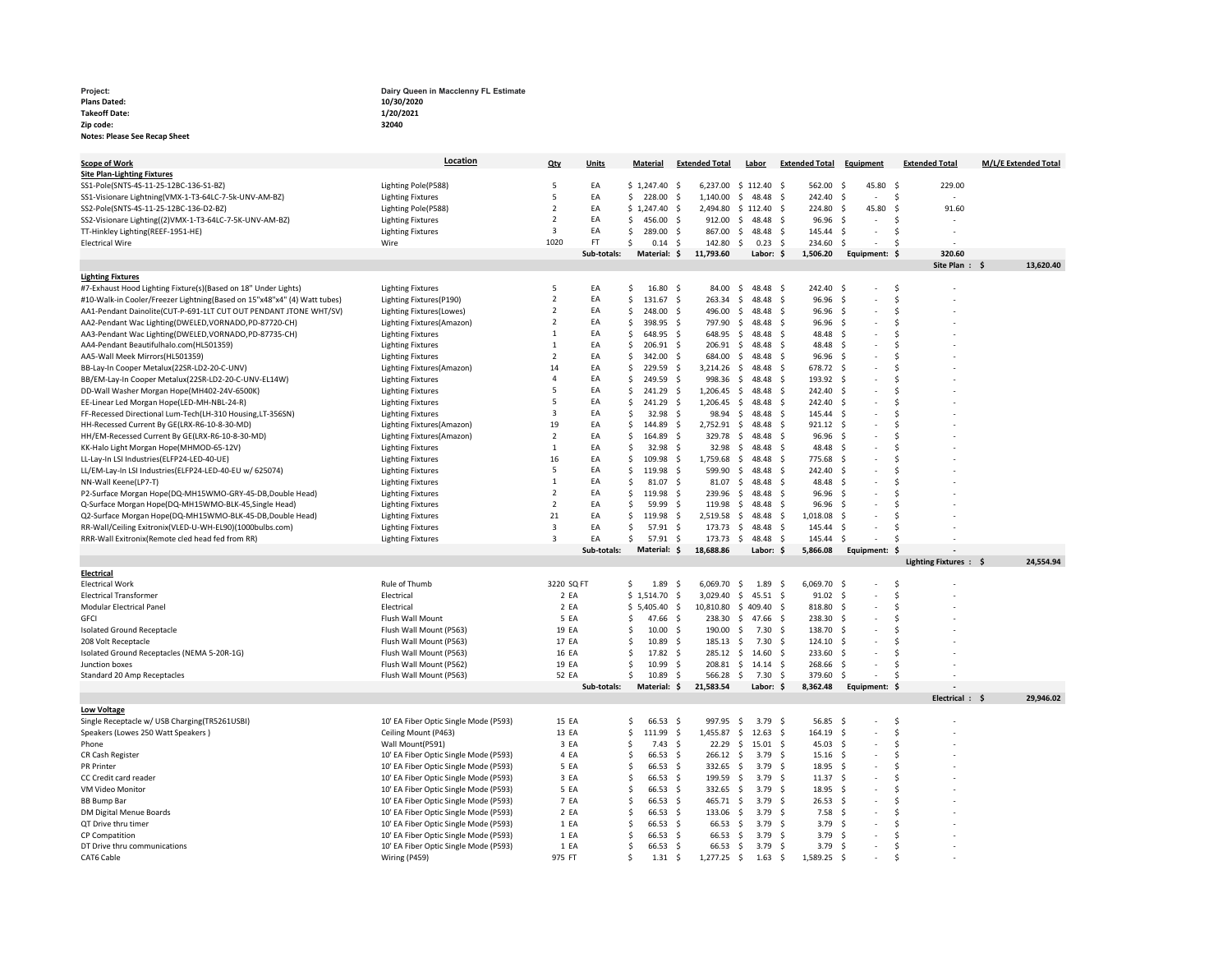Plans Dated: Takeoff Date: Zip code: Notes: Please See Recap Sheet

Project: Project: Project: Project: Dairy Queen in Macclenny FL Estimate 10/30/2020 1/20/2021 32040

| <b>Scope of Work</b>                                                     | Location                              | Qty            | <b>Units</b> | Material     |                    |                    | <b>Extended Total</b> |                     | Labor            |                    | <b>Extended Total</b> | <b>Equipment</b>    |                | <b>Extended Total</b>     | M/L/E Extended Total |
|--------------------------------------------------------------------------|---------------------------------------|----------------|--------------|--------------|--------------------|--------------------|-----------------------|---------------------|------------------|--------------------|-----------------------|---------------------|----------------|---------------------------|----------------------|
| <b>Site Plan-Lighting Fixtures</b>                                       |                                       |                |              |              |                    |                    |                       |                     |                  |                    |                       |                     |                |                           |                      |
| SS1-Pole(SNTS-4S-11-25-12BC-136-S1-BZ)                                   | Lighting Pole(P588)                   | 5              | EA           | \$1.247.40   |                    | - Ś                | 6.237.00              |                     | \$112.40         | - S                | 562.00                | -Ś                  | 45.80 \$       | 229.00                    |                      |
| SS1-Visionare Lightning(VMX-1-T3-64LC-7-5k-UNV-AM-BZ)                    | <b>Lighting Fixtures</b>              | 5              | EA           | \$           | 228.00             | -\$                | 1,140.00              | \$                  | 48.48            | .s                 | 242.40                | -S                  | $\overline{a}$ | -\$                       |                      |
| SS2-Pole(SNTS-4S-11-25-12BC-136-D2-BZ)                                   | Lighting Pole(P588)                   | $\overline{2}$ | EA           | \$1,247.40   |                    | -\$                | 2,494.80              |                     | \$112.40         | S.                 | 224.80                | -S                  | 45.80          | -\$<br>91.60              |                      |
| SS2-Visionare Lighting((2)VMX-1-T3-64LC-7-5K-UNV-AM-BZ)                  | <b>Lighting Fixtures</b>              | $\overline{2}$ | EA           | \$           | 456.00             | -\$                | 912.00                | -\$                 | 48.48            | S.                 | 96.96                 | -S                  |                | .S                        |                      |
| TT-Hinkley Lighting(REEF-1951-HE)                                        | <b>Lighting Fixtures</b>              | $\overline{3}$ | EA           | \$           | 289.00             | - Ś                | 867.00                | S.                  | 48.48            | $\leq$             | 145.44                | -Ś                  |                | <b>S</b>                  |                      |
| <b>Electrical Wire</b>                                                   | Wire                                  | 1020           | FT.          | Ŝ.           | 0.14               | -\$                | 142.80                | -\$                 | 0.23             | \$                 | 234.60                | $\ddot{\mathsf{s}}$ |                | Ś                         |                      |
|                                                                          |                                       |                | Sub-totals:  |              | Material: \$       |                    | 11,793.60             |                     | Labor: \$        |                    | 1,506.20              |                     |                | 320.60                    |                      |
|                                                                          |                                       |                |              |              |                    |                    |                       |                     |                  |                    |                       |                     | Equipment: \$  | Site Plan:                | 13,620.40            |
|                                                                          |                                       |                |              |              |                    |                    |                       |                     |                  |                    |                       |                     |                |                           |                      |
| <b>Lighting Fixtures</b>                                                 |                                       | 5              |              | \$           |                    |                    |                       |                     | 48.48 \$         |                    | 242.40                |                     |                | Ś                         |                      |
| #7-Exhaust Hood Lighting Fixture(s)(Based on 18" Under Lights)           | <b>Lighting Fixtures</b>              |                | EA           |              | $16.80\frac{1}{2}$ |                    | 84.00                 | \$                  |                  |                    |                       | -\$                 |                |                           |                      |
| #10-Walk-in Cooler/Freezer Lightning(Based on 15"x48"x4" (4) Watt tubes) | Lighting Fixtures(P190)               | $\overline{2}$ | EA           | Ŝ.           | 131.67 \$          |                    | 263.34                | -\$                 | 48.48            | -\$                | 96.96                 | -\$                 |                | Ś                         |                      |
| AA1-Pendant Dainolite(CUT-P-691-1LT CUT OUT PENDANT JTONE WHT/SV)        | Lighting Fixtures(Lowes)              | $\overline{z}$ | EA           | Ŝ.           | 248.00             | -\$                | 496.00                | S.                  | 48.48            | -\$                | 96.96                 | -\$                 |                | Ś                         |                      |
| AA2-Pendant Wac Lighting(DWELED,VORNADO,PD-87720-CH)                     | Lighting Fixtures(Amazon)             | $\overline{z}$ | EA           | \$           | 398.95             | -\$                | 797.90                | S.                  | 48.48            | -Ś                 | 96.96                 | -Ś                  |                | Ś                         |                      |
| AA3-Pendant Wac Lighting(DWELED,VORNADO,PD-87735-CH)                     | <b>Lighting Fixtures</b>              | 1              | EA           | \$           | 648.95             | -\$                | 648.95                | \$                  | 48.48            | -Ś                 | 48.48                 | -S                  |                | Ś                         |                      |
| AA4-Pendant Beautifulhalo.com(HL501359)                                  | <b>Lighting Fixtures</b>              | $\mathbf{1}$   | EA           | Ŝ.           | 206.91             | -\$                | 206.91                | S.                  | 48.48            | -Ś                 | 48.48                 | -Ś                  |                | Ś                         |                      |
| AA5-Wall Meek Mirrors(HL501359)                                          | <b>Lighting Fixtures</b>              | $\overline{z}$ | EA           | \$           | 342.00             | -\$                | 684.00                | -\$                 | 48.48            | -Ś                 | 96.96                 | -Ś                  |                | Ś                         |                      |
| BB-Lay-In Cooper Metalux(22SR-LD2-20-C-UNV)                              | Lighting Fixtures(Amazon)             | 14             | EA           | Ŝ.           | 229.59             | - Ś                | 3,214.26              | - Ś                 | 48.48            | Ŝ.                 | 678.72                | -Ś                  |                | Ś                         |                      |
| BB/EM-Lay-In Cooper Metalux(22SR-LD2-20-C-UNV-EL14W)                     | <b>Lighting Fixtures</b>              | $\overline{4}$ | EA           | \$           | 249.59             | -\$                | 998.36                | \$                  | 48.48            | \$                 | 193.92                | -\$                 |                | Ś                         |                      |
| DD-Wall Washer Morgan Hope(MH402-24V-6500K)                              | <b>Lighting Fixtures</b>              | 5              | EA           | .s           | 241.29             | -\$                | 1,206.45              | -S                  | 48.48            | -Ś                 | 242.40                | -Ś                  |                | Ś                         |                      |
| EE-Linear Led Morgan Hope(LED-MH-NBL-24-R)                               | <b>Lighting Fixtures</b>              | 5              | EA           | Ŝ.           | 241.29             | -\$                | 1,206.45              | -\$                 | 48.48            | -Ś                 | 242.40                | -Ś                  |                | Ś                         |                      |
| FF-Recessed Directional Lum-Tech(LH-310 Housing, LT-356SN)               | <b>Lighting Fixtures</b>              | $\overline{3}$ | EA           | <b>S</b>     | 32.98              | - Ś                | 98.94                 | S.                  | 48.48            | Ŝ.                 | 145.44                | -Ś                  |                | Ś                         |                      |
| HH-Recessed Current By GE(LRX-R6-10-8-30-MD)                             | Lighting Fixtures(Amazon)             | 19             | EA           | \$           | 144.89             | - S                | 2,752.91              | S.                  | 48.48            | -Ś                 | 921.12                | - S                 |                | Ś                         |                      |
| HH/EM-Recessed Current By GE(LRX-R6-10-8-30-MD)                          | Lighting Fixtures(Amazon)             | $\overline{2}$ | EA           | \$           | 164.89             | -\$                | 329.78                | S.                  | 48.48            | -Ś                 | 96.96                 | -S                  |                | Ś                         |                      |
| KK-Halo Light Morgan Hope(MHMOD-65-12V)                                  | <b>Lighting Fixtures</b>              | $\mathbf{1}$   | EA           | -Ś           | 32.98              | -\$                | 32.98                 | -\$                 | 48.48            | -Ś                 | 48.48                 | -S                  |                | Ś                         |                      |
| LL-Lay-In LSI Industries(ELFP24-LED-40-UE)                               | <b>Lighting Fixtures</b>              | 16             | EA           | \$           | 109.98             | -\$                | 1,759.68              | -\$                 | 48.48            | -Ś                 | 775.68                | -Ś                  |                | Ś                         |                      |
| LL/EM-Lay-In LSI Industries(ELFP24-LED-40-EU w/ 625074)                  | <b>Lighting Fixtures</b>              | 5              | EA           | \$           | 119.98             | -\$                | 599.90                | -\$                 | 48.48            | S.                 | 242.40                | -\$                 |                | S                         |                      |
| NN-Wall Keene(LP7-T)                                                     | <b>Lighting Fixtures</b>              | $\mathbf{1}$   | EA           | Ŝ.           | 81.07              | - Ś                | 81.07                 | S.                  | 48.48            | s.                 | 48.48                 | -Ś                  |                | Ś                         |                      |
| P2-Surface Morgan Hope(DQ-MH15WMO-GRY-45-DB,Double Head)                 | <b>Lighting Fixtures</b>              | $\overline{z}$ | EA           | Ŝ.           | 119.98             | - Ś                | 239.96                | -\$                 | 48.48            | Ŝ.                 | 96.96                 | -Ś                  |                | Ś                         |                      |
| Q-Surface Morgan Hope(DQ-MH15WMO-BLK-45,Single Head)                     | <b>Lighting Fixtures</b>              | $\overline{2}$ | EA           | Ŝ.           | 59.99              | - Ś                | 119.98                | S.                  | 48.48            | .S                 | 96.96                 | -S                  |                | Ś                         |                      |
| Q2-Surface Morgan Hope(DQ-MH15WMO-BLK-45-DB,Double Head)                 | <b>Lighting Fixtures</b>              | 21             | EA           | \$           | 119.98             | - S                | 2,519.58              | -\$                 | 48.48            | S.                 | 1,018.08              | -Ś                  |                | Ś                         |                      |
| RR-Wall/Ceiling Exitronix(VLED-U-WH-EL90)(1000bulbs.com)                 | <b>Lighting Fixtures</b>              | $\overline{3}$ | EA           | .s           | 57.91              | -\$                | 173.73                | -\$                 | 48.48            | S.                 | 145.44                | -\$                 |                | Ś                         |                      |
| RRR-Wall Exitronix(Remote cled head fed from RR)                         | <b>Lighting Fixtures</b>              | $\overline{3}$ | EA           | $\zeta$      | 57.91              | - Ś                | 173.73                | S.                  | 48.48            | Ŝ.                 | 145.44                | -Ś                  |                | Š,                        |                      |
|                                                                          |                                       |                | Sub-totals:  |              | Material: \$       |                    | 18,688.86             |                     | Labor: \$        |                    | 5,866.08              |                     | Equipment: \$  |                           |                      |
|                                                                          |                                       |                |              |              |                    |                    |                       |                     |                  |                    |                       |                     |                | <b>Lighting Fixtures:</b> | 24,554.94<br>S       |
| Electrical                                                               |                                       |                |              |              |                    |                    |                       |                     |                  |                    |                       |                     |                |                           |                      |
| <b>Electrical Work</b>                                                   | Rule of Thumb                         | 3220 SQ FT     |              | \$           | 1.89               | -\$                | 6,069.70              | -\$                 | 1.89             | -S                 | 6,069.70              | -\$                 |                | .S                        |                      |
| <b>Electrical Transformer</b>                                            | Electrical                            | 2 EA           |              | \$1,514.70   |                    | -\$                | 3,029.40              | \$                  | 45.51            | $\mathsf{\dot{S}}$ | 91.02                 | $\ddot{\mathsf{s}}$ |                | Š                         |                      |
| <b>Modular Electrical Panel</b>                                          | Electrical                            | 2 EA           |              | \$5,405.40   |                    | \$                 | 10,810.80             |                     | \$409.40         | -S                 | 818.80                | -Ś                  |                | Ś                         |                      |
| <b>GFCI</b>                                                              | Flush Wall Mount                      | 5 EA           |              | -Ś           | 47.66              | -\$                | 238.30                | S.                  | 47.66            | -Ś                 | 238.30                | -S                  |                | Ś                         |                      |
| <b>Isolated Ground Receptacle</b>                                        | Flush Wall Mount (P563)               | 19 EA          |              | Ŝ.           | 10.00              | -\$                | 190.00                | -\$                 | 7.30             | Ŝ.                 | 138.70                | -Ś                  |                | Ś                         |                      |
| 208 Volt Receptacle                                                      | Flush Wall Mount (P563)               | 17 EA          |              | <sub>S</sub> | 10.89              | -\$                | 185.13                | $\ddot{\mathsf{S}}$ | 7.30             | -Ś                 | 124.10                | -S                  |                | Ś                         |                      |
|                                                                          |                                       | 16 EA          |              | Ŝ.           |                    | -\$                |                       |                     |                  | -S                 | 233.60                | -\$                 |                | Ś                         |                      |
| Isolated Ground Receptacles (NEMA 5-20R-1G)                              | Flush Wall Mount (P563)               | 19 EA          |              | .s           | 17.82<br>10.99     | - \$               | 285.12<br>208.81      |                     | \$14.60<br>14.14 |                    | 268.66                | -S                  |                | .S                        |                      |
| Junction boxes                                                           | Flush Wall Mount (P562)               |                |              |              |                    |                    |                       | \$                  |                  | -S                 |                       |                     |                | .\$                       |                      |
| Standard 20 Amp Receptacles                                              | Flush Wall Mount (P563)               | 52 EA          |              | Ŝ.           | 10.89              | - Ś                | 566.28                | - Ś                 | 7.30             | Ŝ.                 | 379.60                | -Ś                  |                |                           |                      |
|                                                                          |                                       |                | Sub-totals:  |              | Material: \$       |                    | 21,583.54             |                     | Labor: \$        |                    | 8,362.48              |                     | Equipment: \$  |                           |                      |
|                                                                          |                                       |                |              |              |                    |                    |                       |                     |                  |                    |                       |                     |                | Electrical :              | 29,946.02            |
| <b>Low Voltage</b>                                                       |                                       |                |              |              |                    |                    |                       |                     |                  |                    |                       |                     |                |                           |                      |
| Single Receptacle w/ USB Charging(TR5261USBI)                            | 10' EA Fiber Optic Single Mode (P593) | 15 EA          |              | <sub>S</sub> | 66.53              | -\$                | 997.95                | S.                  | 3.79             | -Ś                 | 56.85                 | -\$                 |                | Ś                         |                      |
| Speakers (Lowes 250 Watt Speakers)                                       | Ceiling Mount (P463)                  | 13 EA          |              | Ŝ.           | 111.99             | $\dot{\mathsf{s}}$ | 1,455.87              | Ŝ.                  | 12.63            | \$                 | 164.19                | -S                  |                | Ŝ.                        |                      |
| Phone                                                                    | Wall Mount(P591)                      | 3 EA           |              | Ŝ            | 7.43               | -\$                | 22.29                 | S.                  | 15.01            | -\$                | 45.03                 | -\$                 |                | Ś                         |                      |
| CR Cash Register                                                         | 10' EA Fiber Optic Single Mode (P593) | 4 EA           |              | .s           | 66.53              | -\$                | 266.12                | S.                  | 3.79             | .s                 | 15.16                 | -Ś                  |                | Ś                         |                      |
| <b>PR Printer</b>                                                        | 10' EA Fiber Optic Single Mode (P593) | 5 EA           |              | .s           | 66.53              | - \$               | 332.65                | S.                  | 3.79             | \$                 | 18.95                 | -\$                 |                | Ś                         |                      |
| CC Credit card reader                                                    | 10' EA Fiber Optic Single Mode (P593) | 3 EA           |              | \$           | 66.53              | -\$                | 199.59                | \$                  | 3.79             | \$                 | 11.37                 | -\$                 |                | Ś                         |                      |
| VM Video Monitor                                                         | 10' EA Fiber Optic Single Mode (P593) | 5 EA           |              | .s           | 66.53              | -\$                | 332.65                | -\$                 | 3.79             | Ŝ.                 | 18.95                 | - S                 |                | Ś                         |                      |
| <b>BB Bump Bar</b>                                                       | 10' EA Fiber Optic Single Mode (P593) | 7 EA           |              | Ŝ.           | 66.53              | - Ś                | 465.71                | -Ś                  | 3.79             | Ŝ.                 | 26.53                 | s.                  |                | Ś                         |                      |
| DM Digital Menue Boards                                                  | 10' EA Fiber Optic Single Mode (P593) | 2 EA           |              | Ŝ.           | 66.53              | -\$                | 133.06                | S.                  | 3.79             | Ŝ.                 | 7.58                  | -Ś                  |                | Ś                         |                      |
| QT Drive thru timer                                                      | 10' EA Fiber Optic Single Mode (P593) | 1 EA           |              | .s           | 66.53              | -\$                | 66.53                 | -S                  | 3.79             | S.                 | 3.79                  | -\$                 |                | Ś                         |                      |
| <b>CP Compatition</b>                                                    | 10' EA Fiber Optic Single Mode (P593) | 1 EA           |              | .s           | 66.53              | -\$                | 66.53                 | -\$                 | 3.79             | S.                 | 3.79                  | -Ś                  |                | .\$                       |                      |
| DT Drive thru communications                                             | 10' EA Fiber Optic Single Mode (P593) | 1 EA           |              | <b>S</b>     | 66.53              | -\$                | 66.53                 | \$                  | 3.79             | Ŝ.                 | 3.79                  | -Ś                  |                | Ŝ.                        |                      |
| CAT6 Cable                                                               | Wiring (P459)                         | 975 FT         |              | Š.           | 1.31               | - Ś                | $1.277.25$ \$         |                     | 1.63             | S.                 | 1.589.25              | $\prec$             |                | Š,                        |                      |